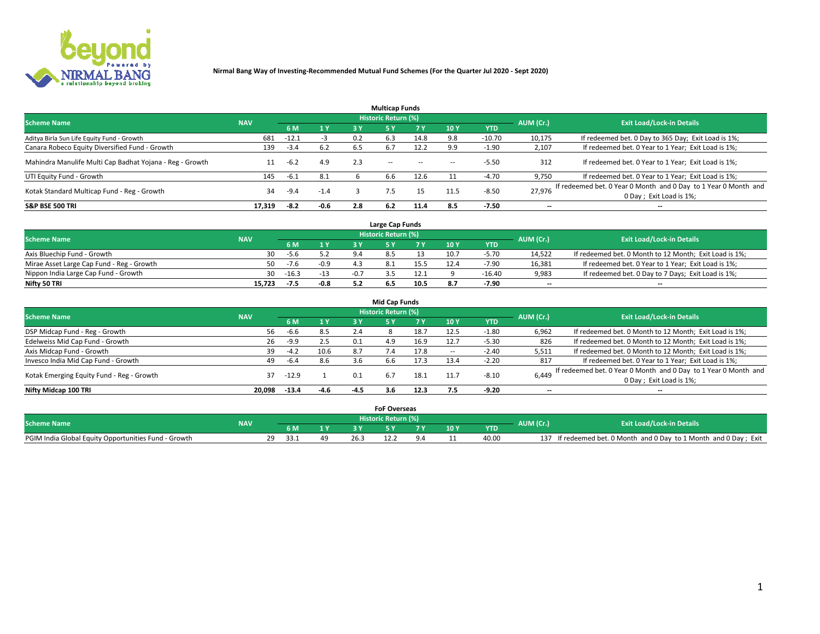

|                                                          |            |         |        |     | <b>Multicap Funds</b> |           |      |            |                          |                                                                                             |
|----------------------------------------------------------|------------|---------|--------|-----|-----------------------|-----------|------|------------|--------------------------|---------------------------------------------------------------------------------------------|
| <b>Scheme Name</b>                                       | <b>NAV</b> |         |        |     | Historic Return (%)   |           |      |            | AUM (Cr.)                | <b>Exit Load/Lock-in Details</b>                                                            |
|                                                          |            | 6 M     | 1 Y    | 3 Y |                       | <b>7Y</b> | 10Y  | <b>YTD</b> |                          |                                                                                             |
| Aditya Birla Sun Life Equity Fund - Growth               | 681        | $-12.1$ | -3     | 0.2 | 6.3                   | 14.8      | 9.8  | $-10.70$   | 10,175                   | If redeemed bet. 0 Day to 365 Day; Exit Load is 1%;                                         |
| Canara Robeco Equity Diversified Fund - Growth           | 139        | $-3.4$  | 6.2    | 6.5 | 6.7                   | 12.2      | 9.9  | $-1.90$    | 2,107                    | If redeemed bet. 0 Year to 1 Year; Exit Load is 1%;                                         |
| Mahindra Manulife Multi Cap Badhat Yojana - Reg - Growth |            | $-6.2$  | 4.9    | 2.3 | $\sim$ $-$            | $-$       | --   | $-5.50$    | 312                      | If redeemed bet. 0 Year to 1 Year; Exit Load is 1%;                                         |
| UTI Equity Fund - Growth                                 | 145        | $-6.1$  | 8.1    |     | 6.6                   | 12.6      |      | $-4.70$    | 9,750                    | If redeemed bet. 0 Year to 1 Year; Exit Load is 1%;                                         |
| Kotak Standard Multicap Fund - Reg - Growth              | 34         | $-9.4$  | $-1.4$ |     |                       | 15        | 11.5 | $-8.50$    | 27.976                   | If redeemed bet. 0 Year 0 Month and 0 Day to 1 Year 0 Month and<br>0 Day ; Exit Load is 1%; |
| <b>S&amp;P BSE 500 TRI</b>                               | 17.319     | $-8.2$  | $-0.6$ | 2.8 | 6.2                   | 11.4      | 8.5  | $-7.50$    | $\overline{\phantom{a}}$ | $- -$                                                                                       |

|                                           |            |         |        | Large Cap Funds     |      |      |            |                          |                                                        |
|-------------------------------------------|------------|---------|--------|---------------------|------|------|------------|--------------------------|--------------------------------------------------------|
| <b>Scheme Name</b>                        | <b>NAV</b> |         |        | Historic Return (%) |      |      |            | AUM (Cr.)                | <b>Exit Load/Lock-in Details</b>                       |
|                                           |            |         | 4V     |                     |      | 10 Y | <b>YTD</b> |                          |                                                        |
| Axis Bluechip Fund - Growth               | 30         | -5.6    |        |                     |      | 10.7 | $-5.70$    | 14,522                   | If redeemed bet. 0 Month to 12 Month; Exit Load is 1%; |
| Mirae Asset Large Cap Fund - Reg - Growth | 50.        | $-7.6$  | $-0.9$ |                     | 15.5 |      | $-7.90$    | 16,381                   | If redeemed bet. 0 Year to 1 Year; Exit Load is 1%;    |
| Nippon India Large Cap Fund - Growth      | 30.        | $-16.3$ | $-13$  |                     | 12.1 |      | $-16.40$   | 9,983                    | If redeemed bet. 0 Day to 7 Days; Exit Load is 1%;     |
| Nifty 50 TRI                              | 15.723     | -7.5    | $-0.8$ |                     | 10.5 |      | $-7.90$    | $\overline{\phantom{a}}$ | $- -$                                                  |

|                                           |            |         |        |        | <b>Mid Cap Funds</b> |      |            |            |                          |                                                                                            |
|-------------------------------------------|------------|---------|--------|--------|----------------------|------|------------|------------|--------------------------|--------------------------------------------------------------------------------------------|
| <b>Scheme Name</b>                        | <b>NAV</b> |         |        |        | Historic Return (%)  |      |            |            | AUM (Cr.)                | <b>Exit Load/Lock-in Details</b>                                                           |
|                                           |            | 6 M     | 1 Y    | 3 Y    |                      | 7 V  | <b>10Y</b> | <b>YTD</b> |                          |                                                                                            |
| DSP Midcap Fund - Reg - Growth            | 56         | -6.6    | 8.5    | 2.4    |                      | 18.7 | 12.5       | $-1.80$    | 6,962                    | If redeemed bet. 0 Month to 12 Month; Exit Load is 1%;                                     |
| Edelweiss Mid Cap Fund - Growth           | 26         | $-9.9$  | 2.5    | 0.1    | 4.9                  | 16.9 | 12.7       | $-5.30$    | 826                      | If redeemed bet. 0 Month to 12 Month; Exit Load is 1%;                                     |
| Axis Midcap Fund - Growth                 | 39         | $-4.2$  | 10.6   | 8.7    |                      | 17.8 |            | $-2.40$    | 5,511                    | If redeemed bet. 0 Month to 12 Month; Exit Load is 1%;                                     |
| Invesco India Mid Cap Fund - Growth       | 49         | $-6.4$  | 8.6    | 3.6    | 6.6                  | 17.3 | 13.4       | $-2.20$    | 817                      | If redeemed bet. 0 Year to 1 Year; Exit Load is 1%;                                        |
| Kotak Emerging Equity Fund - Reg - Growth | 37         | $-12.9$ |        | 0.1    | 6.7                  | 18.1 | 11.7       | $-8.10$    | 6,449                    | If redeemed bet. 0 Year 0 Month and 0 Day to 1 Year 0 Month and<br>0 Day; Exit Load is 1%; |
| Nifty Midcap 100 TRI                      | 20.098     | $-13.4$ | $-4.6$ | $-4.5$ | 3.6                  | 12.3 | 7.5        | $-9.20$    | $\overline{\phantom{a}}$ | $- -$                                                                                      |

|                                                      |            |      |  |       | <b>FoF Overseas</b>     |       |      |            |           |                                                               |
|------------------------------------------------------|------------|------|--|-------|-------------------------|-------|------|------------|-----------|---------------------------------------------------------------|
| <b>Scheme Name</b>                                   | <b>NAV</b> |      |  |       | ا Historic Return (%) ا |       |      |            | AUM (Cr.) | <b>Exit Load/Lock-in Details</b>                              |
|                                                      |            |      |  |       |                         | - - - | 10 Y | <b>YTD</b> |           |                                                               |
| PGIM India Global Equity Opportunities Fund - Growth |            | 33.1 |  | دْ.26 |                         |       |      | 40.00      | 137       | If redeemed bet. 0 Month and 0 Day to 1 Month and 0 Day; Exit |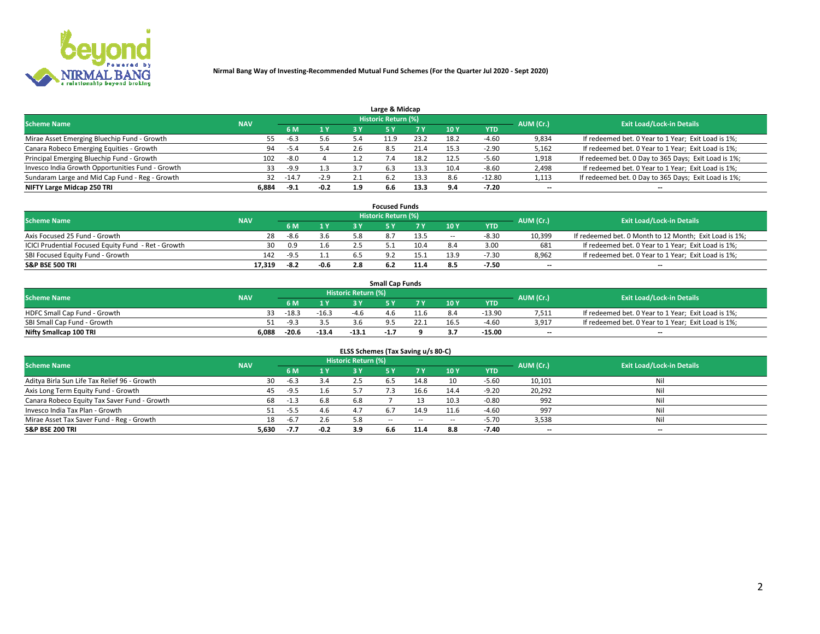

| Large & Midcap                                   |            |         |        |     |                            |      |      |          |                          |                                                      |  |  |  |  |
|--------------------------------------------------|------------|---------|--------|-----|----------------------------|------|------|----------|--------------------------|------------------------------------------------------|--|--|--|--|
| <b>Scheme Name</b>                               | <b>NAV</b> |         |        |     | <b>Historic Return (%)</b> |      |      |          | AUM (Cr.)                | <b>Exit Load/Lock-in Details</b>                     |  |  |  |  |
|                                                  |            | 6 M     | 1 Y    | 3 Y |                            | 7 V  | 10Y  | YTD      |                          |                                                      |  |  |  |  |
| Mirae Asset Emerging Bluechip Fund - Growth      | 55         | $-6.3$  | 5.6    |     | -1.9                       | 23.2 | 18.2 | $-4.60$  | 9,834                    | If redeemed bet. 0 Year to 1 Year; Exit Load is 1%;  |  |  |  |  |
| Canara Robeco Emerging Equities - Growth         | 94         |         | 5.4    |     | 8.5                        | 21.4 | 15.3 | $-2.90$  | 5,162                    | If redeemed bet. 0 Year to 1 Year; Exit Load is 1%;  |  |  |  |  |
| Principal Emerging Bluechip Fund - Growth        | 102        | $-8.0$  |        |     | $\sqrt{.4}$                | 18.2 | 12.5 | $-5.60$  | 1,918                    | If redeemed bet. 0 Day to 365 Days; Exit Load is 1%; |  |  |  |  |
| Invesco India Growth Opportunities Fund - Growth | 33         | -9.9    | 1.3    |     | 6.3                        |      | 10.4 | $-8.60$  | 2,498                    | If redeemed bet. 0 Year to 1 Year; Exit Load is 1%;  |  |  |  |  |
| Sundaram Large and Mid Cap Fund - Reg - Growth   | 32         | $-14.7$ | $-2.9$ | 2.1 | .6.2                       | 13.3 | 8.6  | $-12.80$ | 1,113                    | If redeemed bet. 0 Day to 365 Days; Exit Load is 1%; |  |  |  |  |
| NIFTY Large Midcap 250 TRI                       | 6.884      | -9.1    | $-0.2$ | 1.9 | 6.6                        | 13.3 | 0 A  | -7.20    | $\overline{\phantom{a}}$ | $- -$                                                |  |  |  |  |

|                                                     |            |        |        | <b>Focused Funds</b>       |      |        |            |                          |                                                        |
|-----------------------------------------------------|------------|--------|--------|----------------------------|------|--------|------------|--------------------------|--------------------------------------------------------|
| <b>Scheme Name</b>                                  | <b>NAV</b> |        |        | <b>Historic Return (%)</b> |      |        |            | AUM (Cr.)                | <b>Exit Load/Lock-in Details</b>                       |
|                                                     |            | 6 M    | 1 Y    |                            |      | 10 Y   | <b>YTD</b> |                          |                                                        |
| Axis Focused 25 Fund - Growth                       | 28         | $-8.6$ | 3.6    |                            | 13.5 | $\sim$ | $-8.30$    | 10,399                   | If redeemed bet. 0 Month to 12 Month; Exit Load is 1%; |
| ICICI Prudential Focused Equity Fund - Ret - Growth | 30         | 0.9    | 1.6    |                            | 10.4 |        | 3.00       | 681                      | If redeemed bet. 0 Year to 1 Year; Exit Load is 1%;    |
| SBI Focused Equity Fund - Growth                    | 142        | $-9.5$ |        |                            |      |        | $-7.30$    | 8,962                    | If redeemed bet. 0 Year to 1 Year; Exit Load is 1%;    |
| S&P BSE 500 TRI                                     | 17.319     | -8.2   | $-0.6$ |                            |      |        | $-7.50$    | $\overline{\phantom{a}}$ | $- -$                                                  |

|                              |            |          |         |                     | <b>Small Cap Funds</b> |      |                 |            |           |                                                     |
|------------------------------|------------|----------|---------|---------------------|------------------------|------|-----------------|------------|-----------|-----------------------------------------------------|
| <b>Scheme Name</b>           | <b>NAV</b> |          |         | Historic Return (%) |                        |      |                 |            | AUM (Cr.) | <b>Exit Load/Lock-in Details</b>                    |
|                              |            | 6 M      | 1 Y     |                     |                        |      | 10 <sub>Y</sub> | <b>YTD</b> |           |                                                     |
| HDFC Small Cap Fund - Growth |            | $-18.3$  | $-16.3$ | $-4.6$              | 4.6                    | 11.6 |                 | $-13.90$   | 7,511     | If redeemed bet. 0 Year to 1 Year; Exit Load is 1%; |
| SBI Small Cap Fund - Growth  |            | - - 9. 7 |         |                     |                        |      |                 | $-4.60$    | 3,917     | If redeemed bet. 0 Year to 1 Year; Exit Load is 1%; |
| Nifty Smallcap 100 TRI       | 6.088      | $-20.6$  | $-13.4$ | $-13.1$             | -1.,                   |      |                 | $-15.00$   | $-$       | $- -$                                               |

| ELSS Schemes (Tax Saving u/s 80-C)           |            |        |        |                            |           |        |                          |            |                          |                                  |  |  |  |
|----------------------------------------------|------------|--------|--------|----------------------------|-----------|--------|--------------------------|------------|--------------------------|----------------------------------|--|--|--|
| <b>Scheme Name</b>                           | <b>NAV</b> |        |        | <b>Historic Return (%)</b> |           |        |                          |            | AUM (Cr.)                | <b>Exit Load/Lock-in Details</b> |  |  |  |
|                                              |            | - 6 M  | 1Y     | 73 Y                       | <b>5Y</b> | 7 Y    | 10 Y                     | <b>YTD</b> |                          |                                  |  |  |  |
| Aditya Birla Sun Life Tax Relief 96 - Growth | 30         | $-6.3$ | 3.4    |                            |           | 14.8   | 10                       | $-5.60$    | 10,101                   | Nil                              |  |  |  |
| Axis Long Term Equity Fund - Growth          | 45         | $-9.5$ | 1.6    | 57                         |           | 16.6   | 14.4                     | $-9.20$    | 20,292                   | Nil                              |  |  |  |
| Canara Robeco Equity Tax Saver Fund - Growth | 68         | $-1.3$ | 6.8    | 6.8                        |           |        | 10.3                     | $-0.80$    | 992                      | Nil                              |  |  |  |
| Invesco India Tax Plan - Growth              | 51         | $-5.5$ | 4.6    | 4.7                        | 6.7       | 14.9   | 11.6                     | $-4.60$    | 997                      | Nil                              |  |  |  |
| Mirae Asset Tax Saver Fund - Reg - Growth    | 18         | $-6.7$ | 2.6    | 5.8                        | $- -$     | $\sim$ | $\overline{\phantom{a}}$ | $-5.70$    | 3,538                    | Nil                              |  |  |  |
| S&P BSE 200 TRI                              | 5,630      | $-7.7$ | $-0.2$ | 3.9                        | 6.6       | 11.4   | 8.8                      | $-7.40$    | $\overline{\phantom{a}}$ | $- -$                            |  |  |  |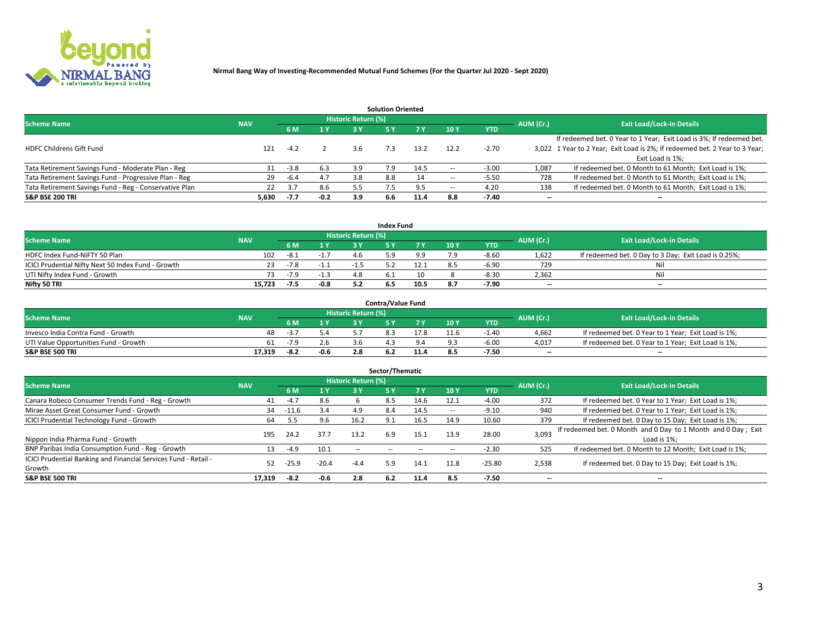

|                                                        |            |            |        |                            | <b>Solution Oriented</b> |      |                          |            |                          |                                                                             |
|--------------------------------------------------------|------------|------------|--------|----------------------------|--------------------------|------|--------------------------|------------|--------------------------|-----------------------------------------------------------------------------|
| <b>Scheme Name</b>                                     | <b>NAV</b> |            |        | <b>Historic Return (%)</b> |                          |      |                          |            | AUM (Cr.)                | <b>Exit Load/Lock-in Details</b>                                            |
|                                                        |            | <b>6 M</b> | 1 Y    | 3 ۷                        |                          |      | 10Y                      | <b>YTD</b> |                          |                                                                             |
|                                                        |            |            |        |                            |                          |      |                          |            |                          | If redeemed bet. 0 Year to 1 Year; Exit Load is 3%; If redeemed bet.        |
| <b>HDFC Childrens Gift Fund</b>                        | 121        | $-4.2$     |        |                            | 7.3                      | 13.2 | 12.2                     | $-2.70$    |                          | 3,022 1 Year to 2 Year; Exit Load is 2%; If redeemed bet. 2 Year to 3 Year; |
|                                                        |            |            |        |                            |                          |      |                          |            |                          | Exit Load is 1%:                                                            |
| Tata Retirement Savings Fund - Moderate Plan - Reg     | 31         | $-3.8$     | 6.3    | 3.9                        | 7.9                      | 14.5 |                          | $-3.00$    | 1,087                    | If redeemed bet. 0 Month to 61 Month; Exit Load is 1%;                      |
| Tata Retirement Savings Fund - Progressive Plan - Reg  | 29         | -6.4       | 4.7    | 3.8                        | 8.8                      | 14   | $\overline{\phantom{a}}$ | $-5.50$    | 728                      | If redeemed bet. 0 Month to 61 Month; Exit Load is 1%;                      |
| Tata Retirement Savings Fund - Reg - Conservative Plan | 22         | 3.7        | 8.6    | 5.5                        |                          |      | -                        | 4.20       | 138                      | If redeemed bet. 0 Month to 61 Month; Exit Load is 1%;                      |
| S&P BSE 200 TRI                                        | 5,630      | $-7.7$     | $-0.2$ | 3.9                        | 6.6                      | 11.4 | 8.8                      | $-7.40$    | $\overline{\phantom{a}}$ | $- -$                                                                       |

|                                                    |            |        |                |                     | <b>Index Fund</b> |      |      |            |                          |                                                      |
|----------------------------------------------------|------------|--------|----------------|---------------------|-------------------|------|------|------------|--------------------------|------------------------------------------------------|
| <b>Scheme Name</b>                                 | <b>NAV</b> |        |                | Historic Return (%) |                   |      |      |            | AUM (Cr.)                | <b>Exit Load/Lock-in Details</b>                     |
|                                                    |            |        | $\sqrt{1}$ $V$ | 2 V                 |                   | 7 V  | 10 Y | <b>YTD</b> |                          |                                                      |
| HDFC Index Fund-NIFTY 50 Plan                      | 102        | $-8.1$ | $-1.7$         |                     |                   |      |      | $-8.60$    | 1,622                    | If redeemed bet. 0 Day to 3 Day; Exit Load is 0.25%; |
| ICICI Prudential Nifty Next 50 Index Fund - Growth |            | -7.8   | -1.1           |                     |                   |      |      | $-6.90$    | 729                      | Nil                                                  |
| UTI Nifty Index Fund - Growth                      |            | $-7.9$ |                |                     |                   |      |      | $-8.3C$    | 2,362                    | Nil                                                  |
| Nifty 50 TRI                                       | 15.723     | -7.5   | $-0.8$         |                     |                   | 10.5 |      | -7.90      | $\overline{\phantom{a}}$ | $- -$                                                |

|                                       |            |        |        |                            | <b>Contra/Value Fund</b> |      |      |            |                          |                                                     |
|---------------------------------------|------------|--------|--------|----------------------------|--------------------------|------|------|------------|--------------------------|-----------------------------------------------------|
| <b>Scheme Name</b>                    | <b>NAV</b> |        |        | <b>Historic Return (%)</b> |                          |      |      |            | AUM (Cr.)                | <b>Exit Load/Lock-in Details</b>                    |
|                                       |            |        | 1 V    |                            |                          |      | 10 Y | <b>YTD</b> |                          |                                                     |
| Invesco India Contra Fund - Growth    | 48         | - 3    |        |                            |                          |      | 11.6 | 1.40       | 4,662                    | If redeemed bet. 0 Year to 1 Year; Exit Load is 1%; |
| UTI Value Opportunities Fund - Growth | 61         | $-7.9$ | 2.6    |                            |                          |      |      | $-6.00$    | 4,017                    | If redeemed bet. 0 Year to 1 Year; Exit Load is 1%; |
| <b>S&amp;P BSE 500 TRI</b>            | 17.319     | -8.2   | $-0.6$ |                            |                          | 11.4 |      | $-7.50$    | $\overline{\phantom{a}}$ | $- -$                                               |

| Sector/Thematic                                                           |            |         |         |                     |     |      |                          |            |           |                                                                              |  |  |  |  |
|---------------------------------------------------------------------------|------------|---------|---------|---------------------|-----|------|--------------------------|------------|-----------|------------------------------------------------------------------------------|--|--|--|--|
| <b>Scheme Name</b>                                                        | <b>NAV</b> |         |         | Historic Return (%) |     |      |                          |            | AUM (Cr.) | <b>Exit Load/Lock-in Details</b>                                             |  |  |  |  |
|                                                                           |            | 6 M     | 1Y      | 3 Y                 | 5 Y |      | 10Y                      | <b>YTD</b> |           |                                                                              |  |  |  |  |
| Canara Robeco Consumer Trends Fund - Reg - Growth                         | 41         | $-4.7$  | 8.6     |                     | 8.5 | 14.6 | 12.1                     | $-4.00$    | 372       | If redeemed bet. 0 Year to 1 Year; Exit Load is 1%;                          |  |  |  |  |
| Mirae Asset Great Consumer Fund - Growth                                  | 34         | $-11.6$ | 3.4     | 4.9                 | 8.4 | 14.5 | $\overline{\phantom{a}}$ | $-9.10$    | 940       | If redeemed bet. 0 Year to 1 Year; Exit Load is 1%;                          |  |  |  |  |
| <b>ICICI Prudential Technology Fund - Growth</b>                          | 64         | 5.5     | 9.6     | 16.2                | 9.1 | 16.5 | 14.9                     | 10.60      | 379       | If redeemed bet. 0 Day to 15 Day; Exit Load is 1%;                           |  |  |  |  |
| Nippon India Pharma Fund - Growth                                         | 195        | 24.2    | 37.7    | 13.2                | 6.9 | 15.1 | 13.9                     | 28.00      | 3,093     | If redeemed bet. 0 Month and 0 Day to 1 Month and 0 Day; Exit<br>Load is 1%: |  |  |  |  |
| BNP Paribas India Consumption Fund - Reg - Growth                         |            | $-4.9$  | 10.1    | $\sim$ $-$          |     |      |                          | $-2.30$    | 525       | If redeemed bet. 0 Month to 12 Month; Exit Load is 1%;                       |  |  |  |  |
| ICICI Prudential Banking and Financial Services Fund - Retail -<br>Growth | 52         | -25.9   | $-20.4$ | $-4.4$              | 5.9 | 14.1 | 11.8                     | $-25.80$   | 2,538     | If redeemed bet. 0 Day to 15 Day; Exit Load is 1%;                           |  |  |  |  |
| <b>S&amp;P BSE 500 TRI</b>                                                | 17.319     | $-8.2$  | -0.6    | 2.8                 | 6.2 | 11.4 | 8.5                      | $-7.50$    | --        | $- -$                                                                        |  |  |  |  |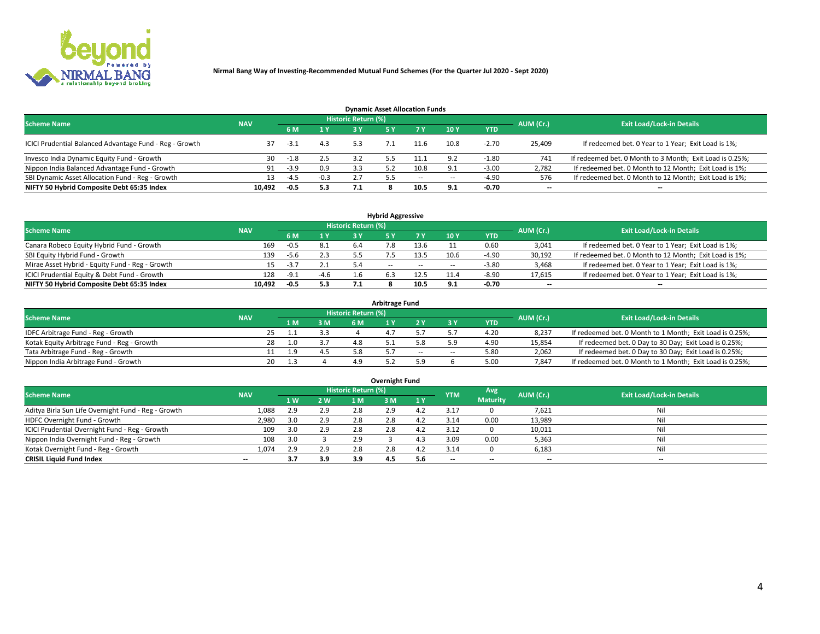

| <b>Dynamic Asset Allocation Funds</b>                   |                                                         |        |        |     |     |      |        |            |                          |                                                          |  |  |  |  |
|---------------------------------------------------------|---------------------------------------------------------|--------|--------|-----|-----|------|--------|------------|--------------------------|----------------------------------------------------------|--|--|--|--|
|                                                         | Historic Return (%)<br><b>Scheme Name</b><br><b>NAV</b> |        |        |     |     |      |        |            |                          |                                                          |  |  |  |  |
|                                                         |                                                         | 6 M    | 1 Y    | 2 V |     |      | 10Y    | <b>YTD</b> | AUM (Cr.)                | <b>Exit Load/Lock-in Details</b>                         |  |  |  |  |
| ICICI Prudential Balanced Advantage Fund - Reg - Growth |                                                         | -3.1   | 4.3    |     |     | 11.6 | 10.8   | $-2.70$    | 25,409                   | If redeemed bet. 0 Year to 1 Year; Exit Load is 1%;      |  |  |  |  |
| Invesco India Dynamic Equity Fund - Growth              | 30                                                      | -1.8   | 2.5    |     |     |      | 0. O   | $-1.80$    | 741                      | If redeemed bet. 0 Month to 3 Month; Exit Load is 0.25%; |  |  |  |  |
| Nippon India Balanced Advantage Fund - Growth           | 91                                                      | $-3.9$ | 0.9    | 3.3 |     | 10.8 | 9.1    | $-3.00$    | 2,782                    | If redeemed bet. 0 Month to 12 Month; Exit Load is 1%;   |  |  |  |  |
| SBI Dynamic Asset Allocation Fund - Reg - Growth        |                                                         | $-4.5$ | $-0.3$ |     | 5.5 | --   | $\sim$ | $-4.90$    | 576                      | If redeemed bet. 0 Month to 12 Month; Exit Load is 1%;   |  |  |  |  |
| NIFTY 50 Hybrid Composite Debt 65:35 Index              | 10.492                                                  | $-0.5$ | 5.3    | 7.1 |     | 10.5 | 9.1    | $-0.70$    | $\overline{\phantom{a}}$ |                                                          |  |  |  |  |

| <b>Hybrid Aggressive</b>                        |            |        |        |                     |            |           |                                  |            |                          |                                                        |  |  |  |  |
|-------------------------------------------------|------------|--------|--------|---------------------|------------|-----------|----------------------------------|------------|--------------------------|--------------------------------------------------------|--|--|--|--|
| <b>Scheme Name</b>                              | <b>NAV</b> |        |        | Historic Return (%) |            | AUM (Cr.) | <b>Exit Load/Lock-in Details</b> |            |                          |                                                        |  |  |  |  |
|                                                 |            | 6 M    | 1 Y    | 2 V                 |            | 7 V       | 10Y                              | <b>YTD</b> |                          |                                                        |  |  |  |  |
| Canara Robeco Equity Hybrid Fund - Growth       | 169        | -0.5   | 8.1    | 6.4                 |            | 13.6      |                                  | 0.60       | 3,041                    | If redeemed bet. 0 Year to 1 Year; Exit Load is 1%;    |  |  |  |  |
| SBI Equity Hybrid Fund - Growth                 | 139        | -5.6   | 2.3    |                     |            | 13.5      | 10.6                             | $-4.90$    | 30,192                   | If redeemed bet. 0 Month to 12 Month; Exit Load is 1%; |  |  |  |  |
| Mirae Asset Hybrid - Equity Fund - Reg - Growth |            | $-3.7$ | 2.1    | 5.4                 | $\sim$ $-$ | $\sim$    | --                               | $-3.80$    | 3,468                    | If redeemed bet. 0 Year to 1 Year; Exit Load is 1%;    |  |  |  |  |
| ICICI Prudential Equity & Debt Fund - Growth    | 128        | $-9.1$ | $-4.6$ |                     |            | 12.5      |                                  | $-8.90$    | 17,615                   | If redeemed bet. 0 Year to 1 Year; Exit Load is 1%;    |  |  |  |  |
| NIFTY 50 Hybrid Composite Debt 65:35 Index      | 10.492     | $-0.5$ | 5.3    |                     |            | 10.5      | $\bullet$                        | -0.70      | $\overline{\phantom{a}}$ | $- -$                                                  |  |  |  |  |

| <b>Arbitrage Fund</b>                      |            |     |     |                     |  |    |        |      |           |                                                          |  |  |  |  |
|--------------------------------------------|------------|-----|-----|---------------------|--|----|--------|------|-----------|----------------------------------------------------------|--|--|--|--|
| <b>Scheme Name</b>                         | <b>NAV</b> |     |     | Historic Return (%) |  |    |        |      | AUM (Cr.) | <b>Exit Load/Lock-in Details</b>                         |  |  |  |  |
|                                            |            | 1 M | 3 M |                     |  |    |        | YTD  |           |                                                          |  |  |  |  |
| IDFC Arbitrage Fund - Reg - Growth         | 25         |     |     |                     |  |    |        | 4.20 | 8,237     | If redeemed bet. 0 Month to 1 Month; Exit Load is 0.25%; |  |  |  |  |
| Kotak Equity Arbitrage Fund - Reg - Growth | 28         | 1 ດ |     | 48                  |  |    |        | 4.90 | 15,854    | If redeemed bet. 0 Day to 30 Day; Exit Load is 0.25%;    |  |  |  |  |
| Tata Arbitrage Fund - Reg - Growth         |            | L.9 |     | 5.8                 |  | -- | $\sim$ | 5.80 | 2,062     | If redeemed bet. 0 Day to 30 Day; Exit Load is 0.25%;    |  |  |  |  |
| Nippon India Arbitrage Fund - Growth       | 20         |     |     | 49                  |  |    |        | 5.00 | 7.847     | If redeemed bet. 0 Month to 1 Month; Exit Load is 0.25%; |  |  |  |  |

| <b>Overnight Fund</b>                               |            |     |     |                     |     |     |            |                 |                          |                                  |  |  |  |  |
|-----------------------------------------------------|------------|-----|-----|---------------------|-----|-----|------------|-----------------|--------------------------|----------------------------------|--|--|--|--|
| <b>Scheme Name</b>                                  | <b>NAV</b> |     |     | Historic Return (%) |     |     | <b>YTM</b> | Avg             | AUM (Cr.)                | <b>Exit Load/Lock-in Details</b> |  |  |  |  |
|                                                     |            | 1W  | 2 W | 1 M                 | ЗM  |     |            | <b>Maturity</b> |                          |                                  |  |  |  |  |
| Aditya Birla Sun Life Overnight Fund - Reg - Growth | 1,088      | 2.9 | 2.9 | 2.8                 | 2.9 |     | 3.1        |                 | 7,621                    | Nil                              |  |  |  |  |
| HDFC Overnight Fund - Growth                        | 2,980      |     | 2.9 | 2.8                 | 2.8 |     | 3.14       | 0.00            | 13,989                   | Nil                              |  |  |  |  |
| ICICI Prudential Overnight Fund - Reg - Growth      | 109        |     | 2.9 | 2.8                 |     |     | 3.12       |                 | 10,011                   | Nil                              |  |  |  |  |
| Nippon India Overnight Fund - Reg - Growth          | 108        | 3.0 |     | 2.9                 |     |     | 3.09       | 0.00            | 5,363                    | Nil                              |  |  |  |  |
| Kotak Overnight Fund - Reg - Growth                 | 1,074      | 2.9 | 2.9 | 2.8                 | 2.8 |     | 3.14       |                 | 6,183                    | Nil                              |  |  |  |  |
| <b>CRISIL Liquid Fund Index</b>                     | $- -$      | 3.7 | 3.9 | 3.9                 | 4.5 | 5.6 | --         | --              | $\overline{\phantom{a}}$ | $- -$                            |  |  |  |  |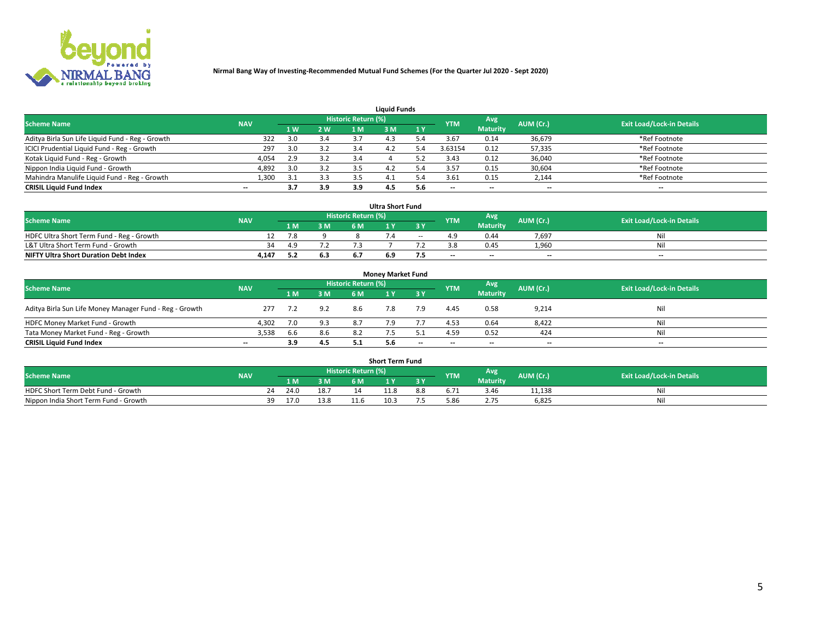

| <b>Liquid Funds</b>                              |            |     |            |     |           |                                  |         |                 |        |               |  |  |  |  |
|--------------------------------------------------|------------|-----|------------|-----|-----------|----------------------------------|---------|-----------------|--------|---------------|--|--|--|--|
| <b>Scheme Name</b>                               | <b>NAV</b> |     | <b>YTM</b> | Avg | AUM (Cr.) | <b>Exit Load/Lock-in Details</b> |         |                 |        |               |  |  |  |  |
|                                                  |            | 4W  | 2 W        | 1 M | M         | 1 Y                              |         | <b>Maturity</b> |        |               |  |  |  |  |
| Aditya Birla Sun Life Liquid Fund - Reg - Growth | 322        | 3.0 | 3.4        |     |           |                                  | 3.67    | 0.14            | 36,679 | *Ref Footnote |  |  |  |  |
| ICICI Prudential Liquid Fund - Reg - Growth      | 297        | 3.0 | 3.2        | 3.4 | 4.2       |                                  | 3.63154 | 0.12            | 57,335 | *Ref Footnote |  |  |  |  |
| Kotak Liquid Fund - Reg - Growth                 | 4,054      | 2.9 | 3.2        |     |           |                                  | 3.43    | 0.12            | 36,040 | *Ref Footnote |  |  |  |  |
| Nippon India Liquid Fund - Growth                | 4,892      | 3.0 | 3.2        |     | 4.2       |                                  | 3.57    | 0.15            | 30,604 | *Ref Footnote |  |  |  |  |
| Mahindra Manulife Liquid Fund - Reg - Growth     | 1,300      | 3.1 | 3.3        | 3.5 | 4.1       |                                  | 3.61    | 0.15            | 2,144  | *Ref Footnote |  |  |  |  |
| <b>CRISIL Liquid Fund Index</b>                  | $- -$      | 3.7 | 3.9        | 3.9 | 4.5       | 5.6                              | --      | $- -$           | --     | $- -$         |  |  |  |  |

| <b>Ultra Short Fund</b>                      |            |     |     |                            |     |       |            |                 |                          |                                  |  |  |  |
|----------------------------------------------|------------|-----|-----|----------------------------|-----|-------|------------|-----------------|--------------------------|----------------------------------|--|--|--|
| <b>Scheme Name</b>                           | <b>NAV</b> |     |     | <b>Historic Return (%)</b> |     |       | <b>YTM</b> | Avg             | AUM (Cr.)                | <b>Exit Load/Lock-in Details</b> |  |  |  |
|                                              |            | 1 M | 3 M | 6 M                        |     |       |            | <b>Maturity</b> |                          |                                  |  |  |  |
| HDFC Ultra Short Term Fund - Reg - Growth    |            | 7.8 |     |                            |     | $- -$ |            | 0.44            | 7.697                    | Ni                               |  |  |  |
| L&T Ultra Short Term Fund - Growth           | 34         | 49  |     |                            |     |       |            | 0.45            | 1,960                    | Ni                               |  |  |  |
| <b>NIFTY Ultra Short Duration Debt Index</b> | 4,147      |     | 6.3 |                            | 6.9 | כ.,   | $-$        | $- -$           | $\overline{\phantom{a}}$ | $-$                              |  |  |  |

| <b>Money Market Fund</b>                                |            |     |     |                     |     |       |                          |                 |                          |                                  |  |  |  |  |
|---------------------------------------------------------|------------|-----|-----|---------------------|-----|-------|--------------------------|-----------------|--------------------------|----------------------------------|--|--|--|--|
| <b>Scheme Name</b>                                      | <b>NAV</b> |     |     | Historic Return (%) |     |       | <b>YTM</b>               | Avg             | AUM (Cr.)                | <b>Exit Load/Lock-in Details</b> |  |  |  |  |
|                                                         |            | 1 M | 3 M | 6 M                 |     | 3 Y   |                          | <b>Maturity</b> |                          |                                  |  |  |  |  |
| Aditya Birla Sun Life Money Manager Fund - Reg - Growth | 277        |     | 9.2 | 8.6                 |     | 7.9   | 4.45                     | 0.58            | 9,214                    | Nil                              |  |  |  |  |
| HDFC Money Market Fund - Growth                         | 4.302      | 7.0 | 9.3 | 87                  |     |       | 4.53                     | 0.64            | 8,422                    | Nil                              |  |  |  |  |
| Tata Money Market Fund - Reg - Growth                   | 3,538      | 6.6 | 8.6 |                     |     |       | 4.59                     | 0.52            | 424                      | Nil                              |  |  |  |  |
| <b>CRISIL Liquid Fund Index</b>                         | $- -$      | 3.9 | 4.5 |                     | 5.6 | $- -$ | $\overline{\phantom{a}}$ | $- -$           | $\overline{\phantom{a}}$ | $- -$                            |  |  |  |  |

|                                       |            |      |      |                            | <b>Short Term Fund</b> |      |            |                 |           |                                  |
|---------------------------------------|------------|------|------|----------------------------|------------------------|------|------------|-----------------|-----------|----------------------------------|
| <b>Scheme Name</b>                    | <b>NAV</b> |      |      | <b>Historic Return (%)</b> |                        |      | <b>YTM</b> | Avg             | AUM (Cr.) | <b>Exit Load/Lock-in Details</b> |
|                                       |            | l M  | 3 M  |                            |                        | 3 Y. |            | <b>Maturity</b> |           |                                  |
| HDFC Short Term Debt Fund - Growth    | 24         | 24.0 | 18.7 |                            | 11.8                   | 8.8  |            | 3.46            | 11.138    | Nıl                              |
| Nippon India Short Term Fund - Growth | 30         | 17.0 | 13.8 | 11.6                       |                        |      | 5.86       | 2.75            | 6.825     | Nil                              |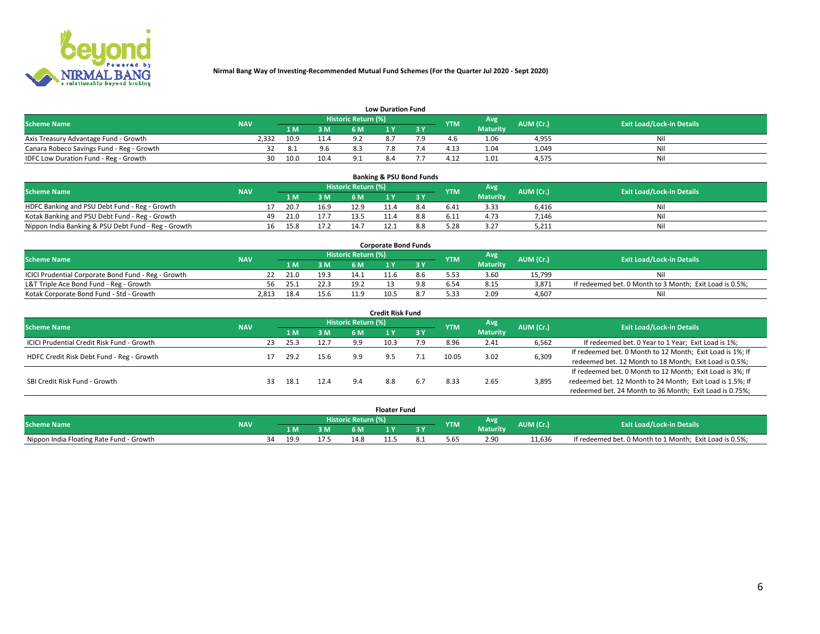

| <b>Low Duration Fund</b>                  |            |      |      |                     |           |     |                  |                 |           |                                  |  |  |  |  |
|-------------------------------------------|------------|------|------|---------------------|-----------|-----|------------------|-----------------|-----------|----------------------------------|--|--|--|--|
| <b>Scheme Name</b>                        | <b>NAV</b> |      |      | Historic Return (%) |           |     | <b>YTM</b>       | Avg             | AUM (Cr.) | <b>Exit Load/Lock-in Details</b> |  |  |  |  |
|                                           |            | L M. | 3 M  |                     |           | 3 Y |                  | <b>Maturity</b> |           |                                  |  |  |  |  |
| Axis Treasury Advantage Fund - Growth     | 2.332      | 10.9 |      |                     | $\circ$ - |     |                  | 1.06            | 4,955     | Nil                              |  |  |  |  |
| Canara Robeco Savings Fund - Reg - Growth |            | -8.1 | 9.6  |                     |           |     | 4.1 <sup>2</sup> | 1.04            | 1,049     | Nil                              |  |  |  |  |
| IDFC Low Duration Fund - Reg - Growth     | 30         | 10.0 | 10.4 |                     | 8.4       |     | 4.17             | 1.01            | 4,575     | Nil                              |  |  |  |  |

| <b>Banking &amp; PSU Bond Funds</b>                 |            |    |      |      |                     |  |           |            |                 |           |                                  |  |  |  |
|-----------------------------------------------------|------------|----|------|------|---------------------|--|-----------|------------|-----------------|-----------|----------------------------------|--|--|--|
| <b>Scheme Name</b>                                  | <b>NAV</b> |    |      |      | Historic Return (%) |  |           | <b>YTM</b> | Avg             | AUM (Cr.) | <b>Exit Load/Lock-in Details</b> |  |  |  |
|                                                     |            |    | 1 M. | 3 M  | 6 M                 |  | <b>AV</b> |            | <b>Maturity</b> |           |                                  |  |  |  |
| HDFC Banking and PSU Debt Fund - Reg - Growth       |            |    | 20.7 | 16.9 | 12.9                |  | 8.4       | 6.41       | 3.33            | 6.416     | Ni                               |  |  |  |
| Kotak Banking and PSU Debt Fund - Reg - Growth      |            | 49 | 21.0 | 17.7 |                     |  |           | 6.11       | 4.73            | 7.146     | Ni                               |  |  |  |
| Nippon India Banking & PSU Debt Fund - Reg - Growth |            | 16 | 15.8 | 17.2 | 14.7                |  |           |            | 3.27            | 5,211     | Ni                               |  |  |  |

| <b>Corporate Bond Funds</b>                         |            |      |      |                            |      |  |            |          |           |                                                         |  |  |  |  |
|-----------------------------------------------------|------------|------|------|----------------------------|------|--|------------|----------|-----------|---------------------------------------------------------|--|--|--|--|
| <b>Scheme Name</b>                                  | <b>NAV</b> |      |      | <b>Historic Return (%)</b> |      |  | <b>YTM</b> | Avg      | AUM (Cr.) | <b>Exit Load/Lock-in Details</b>                        |  |  |  |  |
|                                                     |            |      | 3 M  | 6 M                        |      |  |            | Maturity |           |                                                         |  |  |  |  |
| ICICI Prudential Corporate Bond Fund - Reg - Growth |            | 21.0 | 19.3 |                            |      |  |            | 3.60     | 15.799    | Nil                                                     |  |  |  |  |
| L&T Triple Ace Bond Fund - Reg - Growth             | 56         | 25.1 | 22.3 | 19.2                       |      |  |            | 8.15     | 3,871     | If redeemed bet. 0 Month to 3 Month; Exit Load is 0.5%; |  |  |  |  |
| Kotak Corporate Bond Fund - Std - Growth            | 2.813      |      | 15.6 | 11 0                       | 10.5 |  | 5.33       | 2.09     | 4.607     | Nil                                                     |  |  |  |  |

| <b>Credit Risk Fund</b>                    |            |     |      |      |                     |      |     |            |                 |           |                                                           |  |  |
|--------------------------------------------|------------|-----|------|------|---------------------|------|-----|------------|-----------------|-----------|-----------------------------------------------------------|--|--|
| <b>Scheme Name</b>                         | <b>NAV</b> |     |      |      | Historic Return (%) |      |     | <b>YTM</b> | Avg             | AUM (Cr.) | <b>Exit Load/Lock-in Details</b>                          |  |  |
|                                            |            |     | 1 M  | 3 M  | 6 M                 |      | 3 Y |            | <b>Maturity</b> |           |                                                           |  |  |
| ICICI Prudential Credit Risk Fund - Growth |            | 23  | 25.3 | 12.7 | 9.9                 | 10.3 | 7.9 | 8.96       | 2.41            | 6,562     | If redeemed bet. 0 Year to 1 Year; Exit Load is 1%;       |  |  |
| HDFC Credit Risk Debt Fund - Reg - Growth  |            |     | 29.2 | 15.6 | 9.9                 |      |     | 10.05      | 3.02            | 6,309     | If redeemed bet. 0 Month to 12 Month; Exit Load is 1%; If |  |  |
|                                            |            |     |      |      |                     |      |     |            |                 |           | redeemed bet. 12 Month to 18 Month; Exit Load is 0.5%;    |  |  |
|                                            |            |     |      |      |                     |      |     |            |                 |           | If redeemed bet. 0 Month to 12 Month; Exit Load is 3%; If |  |  |
| SBI Credit Risk Fund - Growth              |            | 33. | 18.1 | 12.4 | 9.4                 | 8.8  | 6.7 | 8.33       | 2.65            | 3,895     | redeemed bet. 12 Month to 24 Month; Exit Load is 1.5%; If |  |  |
|                                            |            |     |      |      |                     |      |     |            |                 |           | redeemed bet. 24 Month to 36 Month; Exit Load is 0.75%;   |  |  |

| <b>Floater Fund</b>                      |            |    |      |    |                            |      |     |            |                 |           |                                                         |
|------------------------------------------|------------|----|------|----|----------------------------|------|-----|------------|-----------------|-----------|---------------------------------------------------------|
| <b>Scheme Name</b>                       | <b>NAV</b> |    |      |    | <b>Historic Return (%)</b> |      |     | <b>YTM</b> | Avg             | AUM (Cr.) | <b>Exit Load/Lock-in Details</b>                        |
|                                          |            |    | 1 M  | ЗM | 6 M                        | . .  | י כ |            | <b>Maturity</b> |           |                                                         |
| Nippon India Floating Rate Fund - Growth |            | ٦Δ | 19.9 |    | 14.8                       | 11.J | ٥.⊥ | 5.65       | 2.90            | 11.636    | If redeemed bet. 0 Month to 1 Month; Exit Load is 0.5%; |